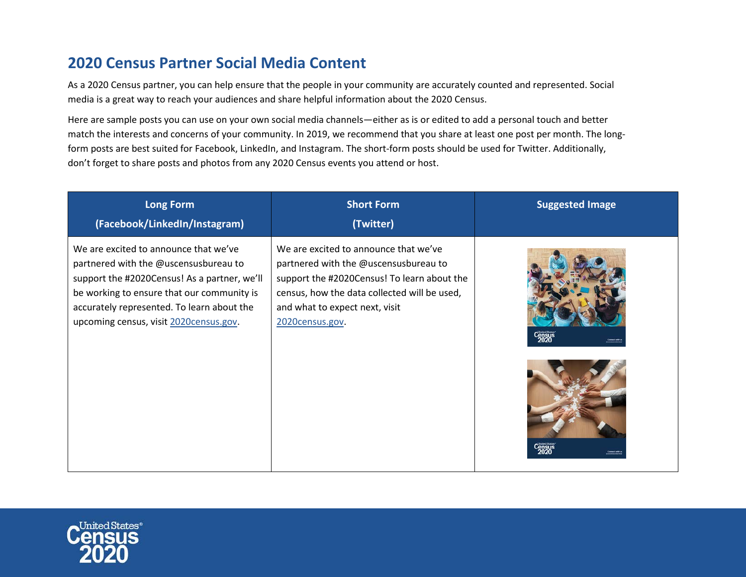## **2020 Census Partner Social Media Content**

As a 2020 Census partner, you can help ensure that the people in your community are accurately counted and represented. Social media is a great way to reach your audiences and share helpful information about the 2020 Census.

Here are sample posts you can use on your own social media channels—either as is or edited to add a personal touch and better match the interests and concerns of your community. In 2019, we recommend that you share at least one post per month. The longform posts are best suited for Facebook, LinkedIn, and Instagram. The short-form posts should be used for Twitter. Additionally, don't forget to share posts and photos from any 2020 Census events you attend or host.

| <b>Long Form</b><br>(Facebook/LinkedIn/Instagram)                                                                                                                                                                                                                    | <b>Short Form</b><br>(Twitter)                                                                                                                                                                                                     | <b>Suggested Image</b> |
|----------------------------------------------------------------------------------------------------------------------------------------------------------------------------------------------------------------------------------------------------------------------|------------------------------------------------------------------------------------------------------------------------------------------------------------------------------------------------------------------------------------|------------------------|
| We are excited to announce that we've<br>partnered with the @uscensusbureau to<br>support the #2020Census! As a partner, we'll<br>be working to ensure that our community is<br>accurately represented. To learn about the<br>upcoming census, visit 2020census.gov. | We are excited to announce that we've<br>partnered with the @uscensusbureau to<br>support the #2020Census! To learn about the<br>census, how the data collected will be used,<br>and what to expect next, visit<br>2020census.gov. | <b>Census</b><br>2020  |

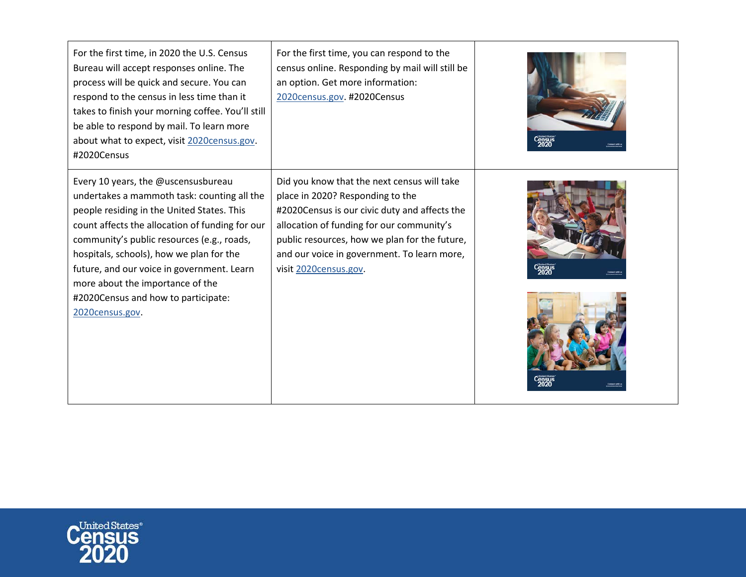| For the first time, in 2020 the U.S. Census<br>Bureau will accept responses online. The<br>process will be quick and secure. You can<br>respond to the census in less time than it<br>takes to finish your morning coffee. You'll still<br>be able to respond by mail. To learn more<br>about what to expect, visit 2020census.gov.<br>#2020Census                                                                        | For the first time, you can respond to the<br>census online. Responding by mail will still be<br>an option. Get more information:<br>2020census.gov. #2020Census                                                                                                                                       |  |
|---------------------------------------------------------------------------------------------------------------------------------------------------------------------------------------------------------------------------------------------------------------------------------------------------------------------------------------------------------------------------------------------------------------------------|--------------------------------------------------------------------------------------------------------------------------------------------------------------------------------------------------------------------------------------------------------------------------------------------------------|--|
| Every 10 years, the @uscensusbureau<br>undertakes a mammoth task: counting all the<br>people residing in the United States. This<br>count affects the allocation of funding for our<br>community's public resources (e.g., roads,<br>hospitals, schools), how we plan for the<br>future, and our voice in government. Learn<br>more about the importance of the<br>#2020Census and how to participate:<br>2020census.gov. | Did you know that the next census will take<br>place in 2020? Responding to the<br>#2020Census is our civic duty and affects the<br>allocation of funding for our community's<br>public resources, how we plan for the future,<br>and our voice in government. To learn more,<br>visit 2020census.gov. |  |